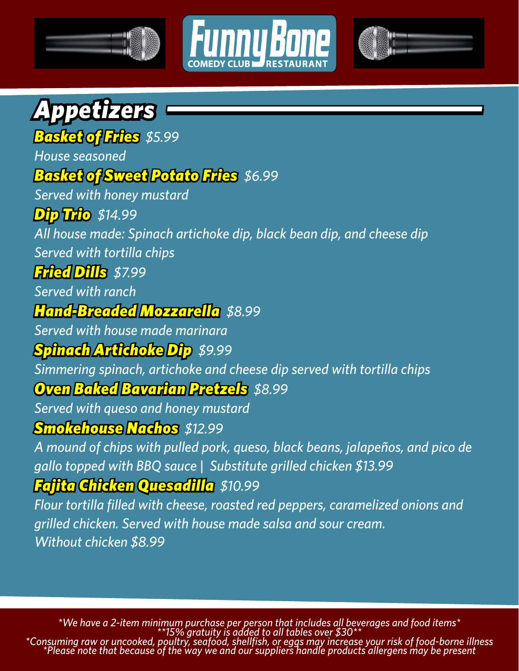



## *Appetizers*

#### *Basket of Fries \$5.99 House seasoned Basket of Sweet Potato Fries \$6.99 Served with honey mustard*

### *Dip Trio \$14.99*

*All house made: Spinach artichoke dip, black bean dip, and cheese dip Served with tortilla chips*

### *Fried Dills \$7.99*

*Served with ranch*

### *Hand-Breaded Mozzarella \$8.99*

*Served with house made marinara*

### *Spinach Artichoke Dip \$9.99*

*Simmering spinach, artichoke and cheese dip served with tortilla chips*

### *Oven Baked Bavarian Pretzels \$8.99*

*Served with queso and honey mustard*

#### *Smokehouse Nachos \$12.99*

*A mound of chips with pulled pork, queso, black beans, jalapeños, and pico de gallo topped with BBQ sauce | Substitute grilled chicken \$13.99 Fajita Chicken Quesadilla \$10.99*

*Flour tortilla filled with cheese, roasted red peppers, caramelized onions and grilled chicken. Served with house made salsa and sour cream. Without chicken \$8.99*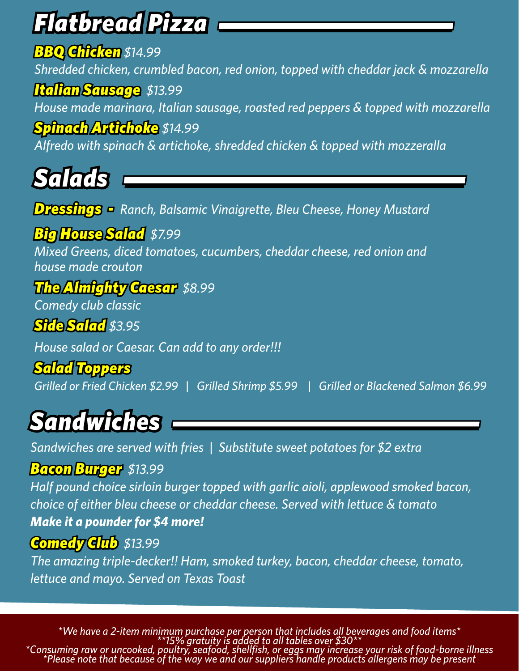# *Flatbread Pizza*

### *BBQ Chicken \$14.99*

*Shredded chicken, crumbled bacon, red onion, topped with cheddar jack & mozzarella*

### *Italian Sausage \$13.99*

*House made marinara, Italian sausage, roasted red peppers & topped with mozzarella*

### *Spinach Artichoke \$14.99*

*Alfredo with spinach & artichoke, shredded chicken & topped with mozzeralla*

*Salads*

*Dressings - Ranch, Balsamic Vinaigrette, Bleu Cheese, Honey Mustard*

### *Big House Salad \$7.99*

*Mixed Greens, diced tomatoes, cucumbers, cheddar cheese, red onion and house made crouton*

### *The Almighty Caesar \$8.99*

*Comedy club classic*

### *Side Salad \$3.95*

*House salad or Caesar. Can add to any order!!!*

### *Salad Toppers*

*Grilled or Fried Chicken \$2.99 | Grilled Shrimp \$5.99 | Grilled or Blackened Salmon \$6.99*

### *Sandwiches*

*Sandwiches are served with fries | Substitute sweet potatoes for \$2 extra*

#### *Bacon Burger \$13.99*

*Half pound choice sirloin burger topped with garlic aioli, applewood smoked bacon, choice of either bleu cheese or cheddar cheese. Served with lettuce & tomato Make it a pounder for \$4 more!*

### *Comedy Club \$13.99*

*The amazing triple-decker!! Ham, smoked turkey, bacon, cheddar cheese, tomato, lettuce and mayo. Served on Texas Toast*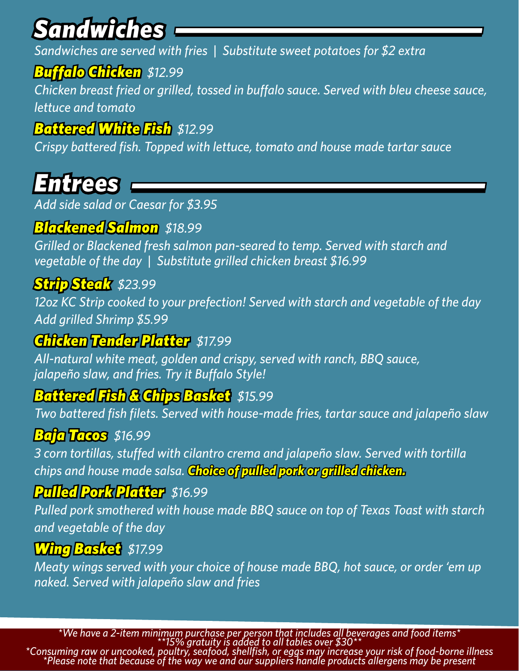## *Sandwiches*

*Sandwiches are served with fries | Substitute sweet potatoes for \$2 extra*

### *Buffalo Chicken \$12.99*

*Chicken breast fried or grilled, tossed in buffalo sauce. Served with bleu cheese sauce, lettuce and tomato*

### *Battered White Fish \$12.99*

*Crispy battered fish. Topped with lettuce, tomato and house made tartar sauce*

### *Entrees*

*Add side salad or Caesar for \$3.95*

### *Blackened Salmon \$18.99*

*Grilled or Blackened fresh salmon pan-seared to temp. Served with starch and vegetable of the day | Substitute grilled chicken breast \$16.99*

### *Strip Steak \$23.99*

*12oz KC Strip cooked to your prefection! Served with starch and vegetable of the day Add grilled Shrimp \$5.99*

### *Chicken Tender Platter \$17.99*

*All-natural white meat, golden and crispy, served with ranch, BBQ sauce, jalapeño slaw, and fries. Try it Buffalo Style!*

### *Battered Fish & Chips Basket \$15.99*

*Two battered fish filets. Served with house-made fries, tartar sauce and jalapeño slaw*

### *Baja Tacos \$16.99*

*3 corn tortillas, stuffed with cilantro crema and jalapeño slaw. Served with tortilla chips and house made salsa. Choice of pulled pork or grilled chicken.*

#### *Pulled Pork Platter \$16.99*

*Pulled pork smothered with house made BBQ sauce on top of Texas Toast with starch and vegetable of the day*

#### *Wing Basket \$17.99*

*Meaty wings served with your choice of house made BBQ, hot sauce, or order 'em up naked. Served with jalapeño slaw and fries*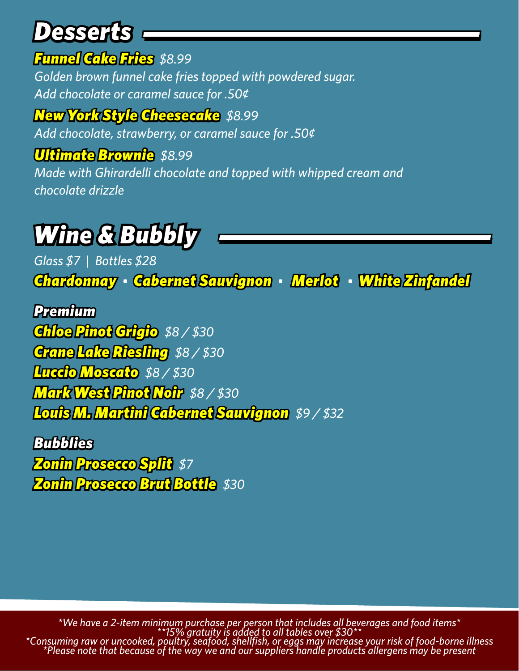### *Desserts*

### *Funnel Cake Fries \$8.99*

*Golden brown funnel cake fries topped with powdered sugar. Add chocolate or caramel sauce for .50¢*

*New York Style Cheesecake \$8.99 Add chocolate, strawberry, or caramel sauce for .50¢*

### *Ultimate Brownie \$8.99*

*Made with Ghirardelli chocolate and topped with whipped cream and chocolate drizzle*

## *Wine & Bubbly*

*Glass \$7 | Bottles \$28 Chardonnay • Cabernet Sauvignon • Merlot • White Zinfandel*

*Premium Chloe Pinot Grigio \$8 / \$30 Crane Lake Riesling \$8 / \$30 Luccio Moscato \$8 / \$30 Mark West Pinot Noir \$8 / \$30 Louis M. Martini Cabernet Sauvignon \$9 / \$32*

*Bubblies Zonin Prosecco Split \$7 Zonin Prosecco Brut Bottle \$30*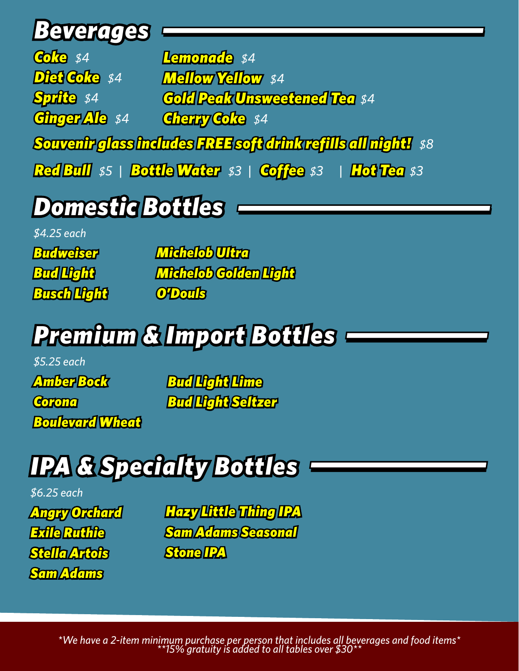### *Beverages*

*Coke \$4 Diet Coke \$4 Sprite \$4 Ginger Ale \$4 Souvenir glass includes FREE soft drink refills all night! \$8 Red Bull \$5 | Bottle Water \$3 | Coffee \$3 | Hot Tea \$3 Lemonade \$4 Mellow Yellow \$4 Gold Peak Unsweetened Tea \$4 Cherry Coke \$4*

## *Domestic Bottles*

*\$4.25 each*

*Budweiser Bud Light Busch Light*  *Michelob Ultra Michelob Golden Light O'Douls* 

## *Premium & Import Bottles*

*\$5.25 each Amber Bock Corona Boulevard Wheat*

*Bud Light Lime Bud Light Seltzer*

## *IPA & Specialty Bottles*

*\$6.25 each Angry Orchard Exile Ruthie Stella Artois Sam Adams*

*Hazy Little Thing IPA Sam Adams Seasonal Stone IPA*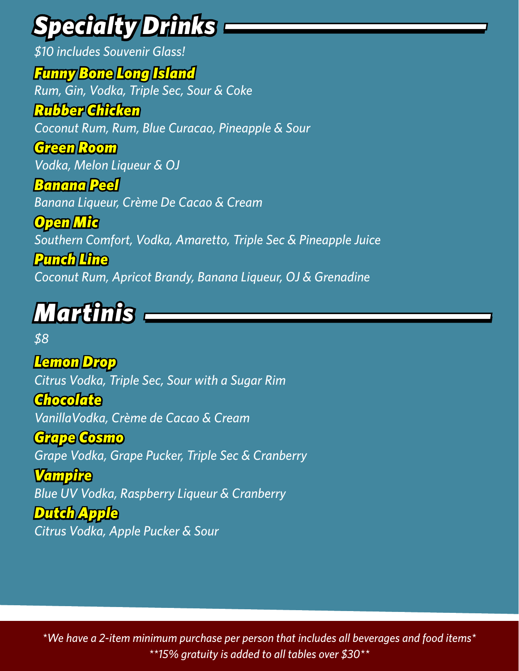# *Specialty Drinks*

*\$10 includes Souvenir Glass! Funny Bone Long Island Rum, Gin, Vodka, Triple Sec, Sour & Coke Rubber Chicken Coconut Rum, Rum, Blue Curacao, Pineapple & Sour Green Room Vodka, Melon Liqueur & OJ Banana Peel*

*Banana Liqueur, Crème De Cacao & Cream*

*Open Mic Southern Comfort, Vodka, Amaretto, Triple Sec & Pineapple Juice*

*Punch Line Coconut Rum, Apricot Brandy, Banana Liqueur, OJ & Grenadine*

### *Martinis*

*\$8*

*Lemon Drop Citrus Vodka, Triple Sec, Sour with a Sugar Rim*

*Chocolate VanillaVodka, Crème de Cacao & Cream*

*Grape Cosmo Grape Vodka, Grape Pucker, Triple Sec & Cranberry*

*Vampire Blue UV Vodka, Raspberry Liqueur & Cranberry*

*Dutch Apple Citrus Vodka, Apple Pucker & Sour*

*\*We have a 2-item minimum purchase per person that includes all beverages and food items\* \*\*15% gratuity is added to all tables over \$30\*\**